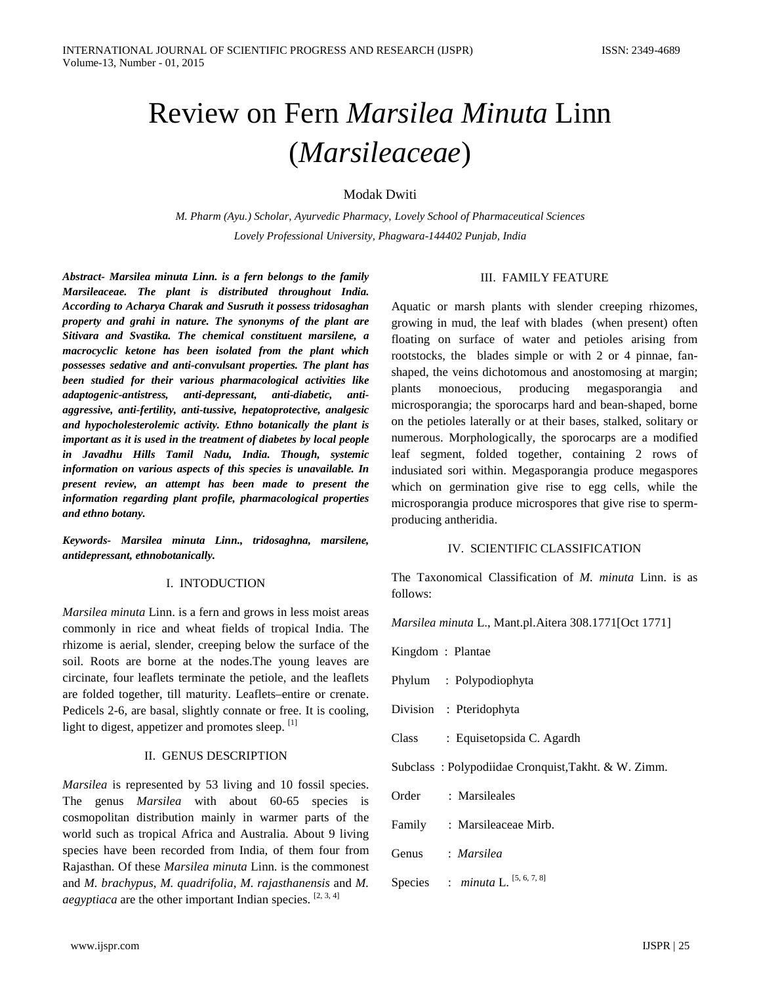# Review on Fern *Marsilea Minuta* Linn (*Marsileaceae*)

Modak Dwiti

*M. Pharm (Ayu.) Scholar, Ayurvedic Pharmacy, Lovely School of Pharmaceutical Sciences Lovely Professional University, Phagwara-144402 Punjab, India*

*Abstract- Marsilea minuta Linn. is a fern belongs to the family Marsileaceae. The plant is distributed throughout India. According to Acharya Charak and Susruth it possess tridosaghan property and grahi in nature. The synonyms of the plant are Sitivara and Svastika. The chemical constituent marsilene, a macrocyclic ketone has been isolated from the plant which possesses sedative and anti-convulsant properties. The plant has been studied for their various pharmacological activities like adaptogenic-antistress, anti-depressant, anti-diabetic, antiaggressive, anti-fertility, anti-tussive, hepatoprotective, analgesic and hypocholesterolemic activity. Ethno botanically the plant is important as it is used in the treatment of diabetes by local people in Javadhu Hills Tamil Nadu, India. Though, systemic information on various aspects of this species is unavailable. In present review, an attempt has been made to present the information regarding plant profile, pharmacological properties and ethno botany.* 

*Keywords- Marsilea minuta Linn., tridosaghna, marsilene, antidepressant, ethnobotanically.* 

#### I. INTODUCTION

*Marsilea minuta* Linn. is a fern and grows in less moist areas commonly in rice and wheat fields of tropical India. The rhizome is aerial, slender, creeping below the surface of the soil. Roots are borne at the nodes.The young leaves are circinate, four leaflets terminate the petiole, and the leaflets are folded together, till maturity. Leaflets–entire or crenate. Pedicels 2-6, are basal, slightly connate or free. It is cooling, light to digest, appetizer and promotes sleep. [1]

#### II. GENUS DESCRIPTION

*Marsilea* is represented by 53 living and 10 fossil species. The genus *Marsilea* with about 60-65 species is cosmopolitan distribution mainly in warmer parts of the world such as tropical Africa and Australia. About 9 living species have been recorded from India, of them four from Rajasthan. Of these *Marsilea minuta* Linn. is the commonest and *M. brachypus*, *M. quadrifolia*, *M. rajasthanensis* and *M. aegyptiaca* are the other important Indian species.  $[2, 3, 4]$ 

## III. FAMILY FEATURE

Aquatic or marsh plants with slender creeping rhizomes, growing in mud, the leaf with blades (when present) often floating on surface of water and petioles arising from rootstocks, the blades simple or with 2 or 4 pinnae, fanshaped, the veins dichotomous and anostomosing at margin; plants monoecious, producing megasporangia and microsporangia; the sporocarps hard and bean-shaped, borne on the petioles laterally or at their bases, stalked, solitary or numerous. Morphologically, the sporocarps are a modified leaf segment, folded together, containing 2 rows of indusiated sori within. Megasporangia produce megaspores which on germination give rise to egg cells, while the microsporangia produce microspores that give rise to spermproducing antheridia.

## IV. SCIENTIFIC CLASSIFICATION

The Taxonomical Classification of *M. minuta* Linn. is as follows:

*Marsilea minuta* L., Mant.pl.Aitera 308.1771[Oct 1771]

Kingdom : Plantae

- Phylum : Polypodiophyta
- Division : Pteridophyta
- Class : Equisetopsida C. Agardh

Subclass : Polypodiidae Cronquist,Takht. & W. Zimm.

- Order : Marsileales
- Family : Marsileaceae Mirb.
- Genus : *Marsilea*
- Species : *minuta* L. <sup>[5, 6, 7, 8]</sup>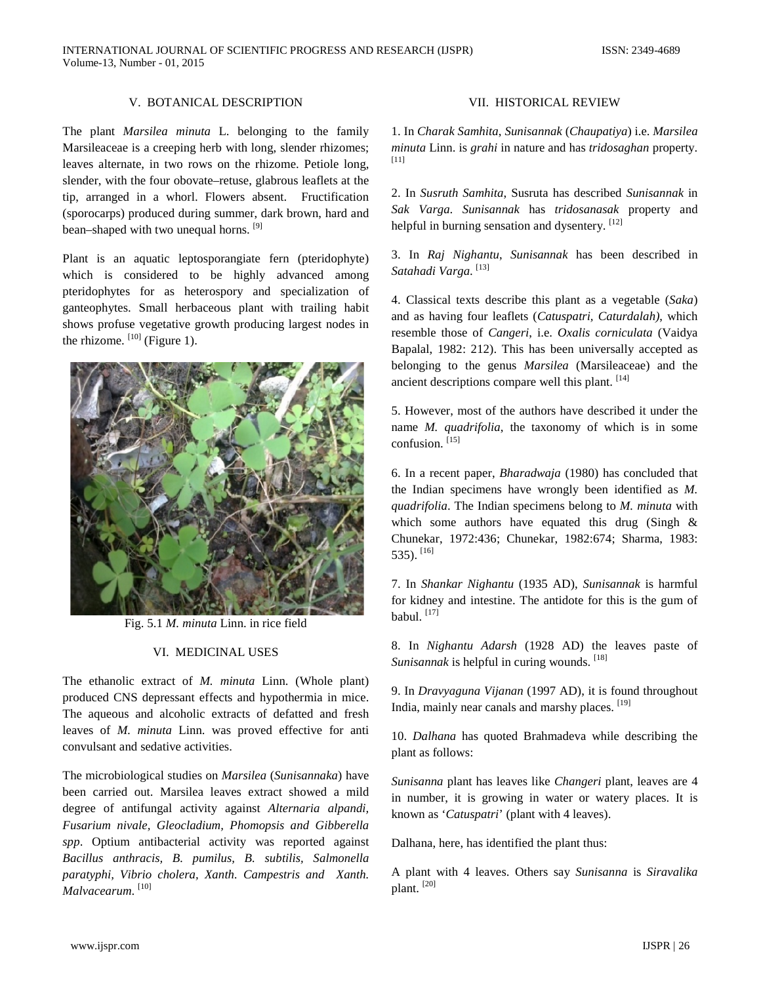## V. BOTANICAL DESCRIPTION

The plant *Marsilea minuta* L. belonging to the family Marsileaceae is a creeping herb with long, slender rhizomes; leaves alternate, in two rows on the rhizome. Petiole long, slender, with the four obovate–retuse, glabrous leaflets at the tip, arranged in a whorl. Flowers absent. Fructification (sporocarps) produced during summer, dark brown, hard and bean–shaped with two unequal horns. <sup>[9]</sup>

Plant is an aquatic leptosporangiate fern (pteridophyte) which is considered to be highly advanced among pteridophytes for as heterospory and specialization of ganteophytes. Small herbaceous plant with trailing habit shows profuse vegetative growth producing largest nodes in the rhizome.  $[10]$  (Figure 1).



Fig. 5.1 *M. minuta* Linn. in rice field

## VI. MEDICINAL USES

The ethanolic extract of *M. minuta* Linn. (Whole plant) produced CNS depressant effects and hypothermia in mice. The aqueous and alcoholic extracts of defatted and fresh leaves of *M. minuta* Linn. was proved effective for anti convulsant and sedative activities.

The microbiological studies on *Marsilea* (*Sunisannaka*) have been carried out. Marsilea leaves extract showed a mild degree of antifungal activity against *Alternaria alpandi, Fusarium nivale, Gleocladium, Phomopsis and Gibberella spp*. Optium antibacterial activity was reported against *Bacillus anthracis, B. pumilus, B. subtilis, Salmonella paratyphi, Vibrio cholera, Xanth. Campestris and Xanth. Malvacearum*. [10]

# VII. HISTORICAL REVIEW

1. In *Charak Samhita*, *Sunisannak* (*Chaupatiya*) i.e. *Marsilea minuta* Linn. is *grahi* in nature and has *tridosaghan* property. [11]

2. In *Susruth Samhita*, Susruta has described *Sunisannak* in *Sak Varga*. *Sunisannak* has *tridosanasak* property and helpful in burning sensation and dysentery. [12]

3. In *Raj Nighantu*, *Sunisannak* has been described in *Satahadi Varga*. [13]

4. Classical texts describe this plant as a vegetable (*Saka*) and as having four leaflets (*Catuspatri, Caturdalah)*, which resemble those of *Cangeri*, i.e. *Oxalis corniculata* (Vaidya Bapalal, 1982: 212). This has been universally accepted as belonging to the genus *Marsilea* (Marsileaceae) and the ancient descriptions compare well this plant. [14]

5. However, most of the authors have described it under the name *M. quadrifolia*, the taxonomy of which is in some confusion. [15]

6. In a recent paper, *Bharadwaja* (1980) has concluded that the Indian specimens have wrongly been identified as *M. quadrifolia*. The Indian specimens belong to *M. minuta* with which some authors have equated this drug (Singh & Chunekar, 1972:436; Chunekar, 1982:674; Sharma, 1983: 535). [16]

7. In *Shankar Nighantu* (1935 AD), *Sunisannak* is harmful for kidney and intestine. The antidote for this is the gum of babul.  $[17]$ 

8. In *Nighantu Adarsh* (1928 AD) the leaves paste of *Sunisannak* is helpful in curing wounds. [18]

9. In *Dravyaguna Vijanan* (1997 AD), it is found throughout India, mainly near canals and marshy places. [19]

10. *Dalhana* has quoted Brahmadeva while describing the plant as follows:

*Sunisanna* plant has leaves like *Changeri* plant, leaves are 4 in number, it is growing in water or watery places. It is known as '*Catuspatri*' (plant with 4 leaves).

Dalhana, here, has identified the plant thus:

A plant with 4 leaves. Others say *Sunisanna* is *Siravalika* plant. [20]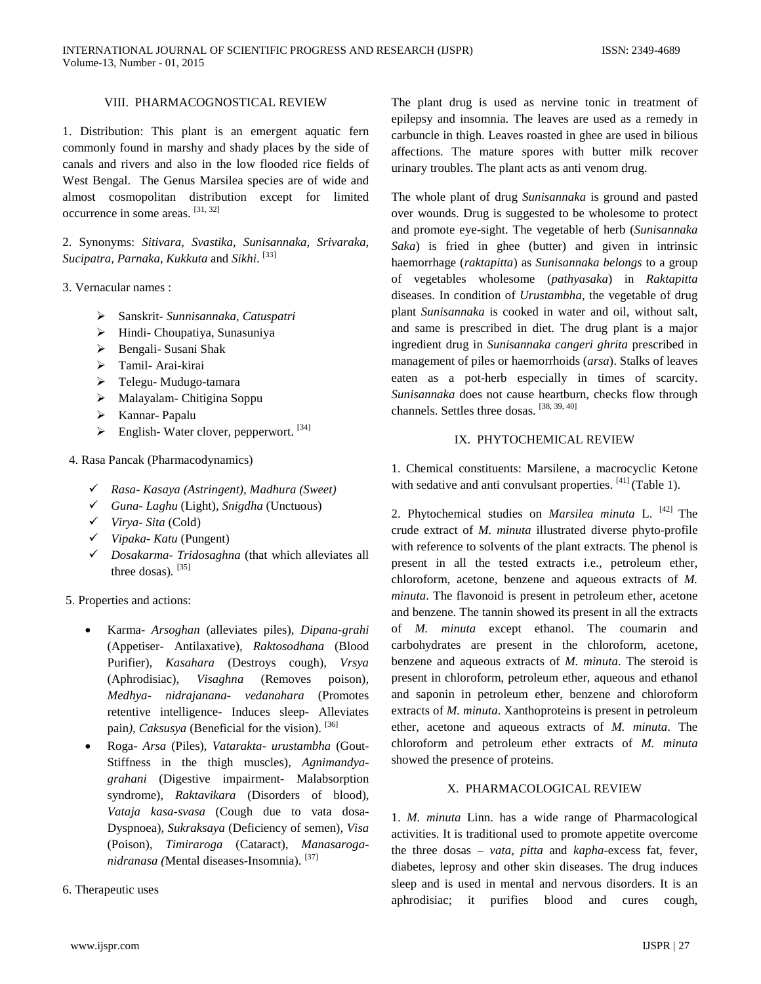# VIII. PHARMACOGNOSTICAL REVIEW

1. Distribution: This plant is an emergent aquatic fern commonly found in marshy and shady places by the side of canals and rivers and also in the low flooded rice fields of West Bengal. The Genus Marsilea species are of wide and almost cosmopolitan distribution except for limited occurrence in some areas. [31, 32]

2. Synonyms: *Sitivara, Svastika, Sunisannaka, Srivaraka, Sucipatra, Parnaka, Kukkuta* and *Sikhi*. [33]

3. Vernacular names :

- Sanskrit- *Sunnisannaka, Catuspatri*
- Hindi- Choupatiya, Sunasuniya
- Bengali- Susani Shak
- > Tamil-Arai-kirai
- Telegu- Mudugo-tamara
- Malayalam- Chitigina Soppu
- Kannar- Papalu
- $\triangleright$  English-Water clover, pepperwort. [34]
- 4. Rasa Pancak (Pharmacodynamics)
	- *Rasa Kasaya (Astringent), Madhura (Sweet)*
	- *Guna Laghu* (Light)*, Snigdha* (Unctuous)
	- *Virya Sita* (Cold)
	- *Vipaka Katu* (Pungent)
	- *Dosakarma Tridosaghna* (that which alleviates all three dosas)*.* [35]

5. Properties and actions:

- Karma- *Arsoghan* (alleviates piles)*, Dipana-grahi* (Appetiser- Antilaxative)*, Raktosodhana* (Blood Purifier)*, Kasahara* (Destroys cough)*, Vrsya* (Aphrodisiac)*, Visaghna* (Removes poison)*, Medhya- nidrajanana- vedanahara* (Promotes retentive intelligence- Induces sleep- Alleviates pain), Caksusya (Beneficial for the vision). [36]
- Roga- *Arsa* (Piles)*, Vatarakta- urustambha* (Gout-Stiffness in the thigh muscles)*, Agnimandyagrahani* (Digestive impairment- Malabsorption syndrome)*, Raktavikara* (Disorders of blood)*, Vataja kasa-svasa* (Cough due to vata dosa-Dyspnoea)*, Sukraksaya* (Deficiency of semen)*, Visa*  (Poison), *Timiraroga* (Cataract), *Manasaroganidranasa (*Mental diseases-Insomnia). [37]
- 6. Therapeutic uses

The plant drug is used as nervine tonic in treatment of epilepsy and insomnia. The leaves are used as a remedy in carbuncle in thigh. Leaves roasted in ghee are used in bilious affections. The mature spores with butter milk recover urinary troubles. The plant acts as anti venom drug.

The whole plant of drug *Sunisannaka* is ground and pasted over wounds. Drug is suggested to be wholesome to protect and promote eye-sight. The vegetable of herb (*Sunisannaka Saka*) is fried in ghee (butter) and given in intrinsic haemorrhage (*raktapitta*) as *Sunisannaka belongs* to a group of vegetables wholesome (*pathyasaka*) in *Raktapitta* diseases. In condition of *Urustambha*, the vegetable of drug plant *Sunisannaka* is cooked in water and oil, without salt, and same is prescribed in diet. The drug plant is a major ingredient drug in *Sunisannaka cangeri ghrita* prescribed in management of piles or haemorrhoids (*arsa*). Stalks of leaves eaten as a pot-herb especially in times of scarcity. *Sunisannaka* does not cause heartburn, checks flow through channels. Settles three dosas. [38, 39, 40]

## IX. PHYTOCHEMICAL REVIEW

1. Chemical constituents: Marsilene, a macrocyclic Ketone with sedative and anti convulsant properties.  $[41]$  (Table 1).

2. Phytochemical studies on *Marsilea minuta* L. [42] The crude extract of *M. minuta* illustrated diverse phyto-profile with reference to solvents of the plant extracts. The phenol is present in all the tested extracts i.e., petroleum ether, chloroform, acetone, benzene and aqueous extracts of *M. minuta*. The flavonoid is present in petroleum ether, acetone and benzene. The tannin showed its present in all the extracts of *M. minuta* except ethanol. The coumarin and carbohydrates are present in the chloroform, acetone, benzene and aqueous extracts of *M. minuta*. The steroid is present in chloroform, petroleum ether, aqueous and ethanol and saponin in petroleum ether, benzene and chloroform extracts of *M. minuta*. Xanthoproteins is present in petroleum ether, acetone and aqueous extracts of *M. minuta*. The chloroform and petroleum ether extracts of *M. minuta* showed the presence of proteins.

## X. PHARMACOLOGICAL REVIEW

1. *M. minuta* Linn. has a wide range of Pharmacological activities. It is traditional used to promote appetite overcome the three dosas – *vata*, *pitta* and *kapha*-excess fat, fever, diabetes, leprosy and other skin diseases. The drug induces sleep and is used in mental and nervous disorders. It is an aphrodisiac; it purifies blood and cures cough,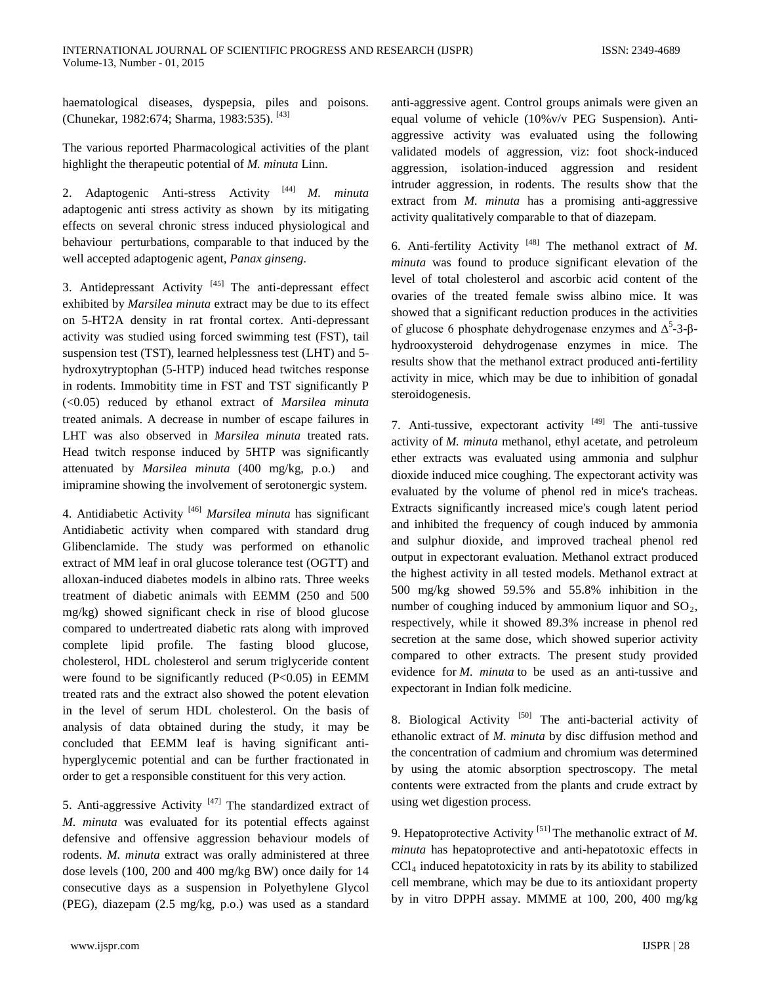haematological diseases, dyspepsia, piles and poisons. (Chunekar, 1982:674; Sharma, 1983:535). [43]

The various reported Pharmacological activities of the plant highlight the therapeutic potential of *M. minuta* Linn.

2. Adaptogenic Anti-stress Activity [44] *M. minuta* adaptogenic anti stress activity as shown by its mitigating effects on several chronic stress induced physiological and behaviour perturbations, comparable to that induced by the well accepted adaptogenic agent, *Panax ginseng.*

3. Antidepressant Activity  $[45]$  The anti-depressant effect exhibited by *Marsilea minuta* extract may be due to its effect on 5-HT2A density in rat frontal cortex. Anti-depressant activity was studied using forced swimming test (FST), tail suspension test (TST), learned helplessness test (LHT) and 5 hydroxytryptophan (5-HTP) induced head twitches response in rodents. Immobitity time in FST and TST significantly P (<0.05) reduced by ethanol extract of *Marsilea minuta* treated animals. A decrease in number of escape failures in LHT was also observed in *Marsilea minuta* treated rats. Head twitch response induced by 5HTP was significantly attenuated by *Marsilea minuta* (400 mg/kg, p.o.) and imipramine showing the involvement of serotonergic system.

4. Antidiabetic Activity [46] *Marsilea minuta* has significant Antidiabetic activity when compared with standard drug Glibenclamide. The study was performed on ethanolic extract of MM leaf in oral glucose tolerance test (OGTT) and alloxan-induced diabetes models in albino rats. Three weeks treatment of diabetic animals with EEMM (250 and 500 mg/kg) showed significant check in rise of blood glucose compared to undertreated diabetic rats along with improved complete lipid profile. The fasting blood glucose, cholesterol, HDL cholesterol and serum triglyceride content were found to be significantly reduced  $(P<0.05)$  in EEMM treated rats and the extract also showed the potent elevation in the level of serum HDL cholesterol. On the basis of analysis of data obtained during the study, it may be concluded that EEMM leaf is having significant antihyperglycemic potential and can be further fractionated in order to get a responsible constituent for this very action.

5. Anti-aggressive Activity  $[47]$  The standardized extract of *M. minuta* was evaluated for its potential effects against defensive and offensive aggression behaviour models of rodents. *M. minuta* extract was orally administered at three dose levels (100, 200 and 400 mg/kg BW) once daily for 14 consecutive days as a suspension in Polyethylene Glycol (PEG), diazepam (2.5 mg/kg, p.o.) was used as a standard

anti-aggressive agent. Control groups animals were given an equal volume of vehicle (10%v/v PEG Suspension). Antiaggressive activity was evaluated using the following validated models of aggression, viz: foot shock-induced aggression, isolation-induced aggression and resident intruder aggression, in rodents. The results show that the extract from *M. minuta* has a promising anti-aggressive activity qualitatively comparable to that of diazepam.

6. Anti-fertility Activity [48] The methanol extract of *M. minuta* was found to produce significant elevation of the level of total cholesterol and ascorbic acid content of the ovaries of the treated female swiss albino mice. It was showed that a significant reduction produces in the activities of glucose 6 phosphate dehydrogenase enzymes and  $Δ^5-3-β$ hydrooxysteroid dehydrogenase enzymes in mice. The results show that the methanol extract produced anti-fertility activity in mice, which may be due to inhibition of gonadal steroidogenesis.

7. Anti-tussive, expectorant activity  $[49]$  The anti-tussive activity of *M. minuta* methanol, ethyl acetate, and petroleum ether extracts was evaluated using ammonia and sulphur dioxide induced mice coughing. The expectorant activity was evaluated by the volume of phenol red in mice's tracheas. Extracts significantly increased mice's cough latent period and inhibited the frequency of cough induced by ammonia and sulphur dioxide, and improved tracheal phenol red output in expectorant evaluation. Methanol extract produced the highest activity in all tested models. Methanol extract at 500 mg/kg showed 59.5% and 55.8% inhibition in the number of coughing induced by ammonium liquor and  $SO<sub>2</sub>$ , respectively, while it showed 89.3% increase in phenol red secretion at the same dose, which showed superior activity compared to other extracts. The present study provided evidence for *M. minuta* to be used as an anti-tussive and expectorant in Indian folk medicine.

8. Biological Activity  $[50]$  The anti-bacterial activity of ethanolic extract of *M. minuta* by disc diffusion method and the concentration of cadmium and chromium was determined by using the atomic absorption spectroscopy. The metal contents were extracted from the plants and crude extract by using wet digestion process.

9. Hepatoprotective Activity [51] The methanolic extract of *M. minuta* has hepatoprotective and anti-hepatotoxic effects in  $CCl<sub>4</sub>$  induced hepatotoxicity in rats by its ability to stabilized cell membrane, which may be due to its antioxidant property by in vitro DPPH assay. MMME at 100, 200, 400 mg/kg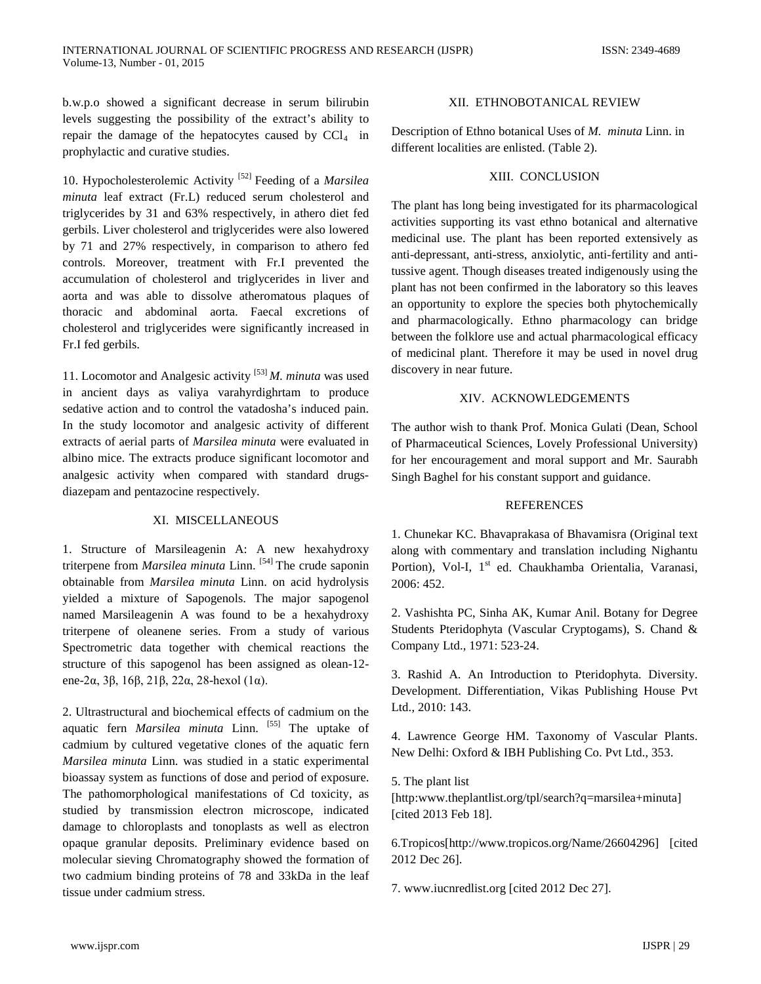b.w.p.o showed a significant decrease in serum bilirubin levels suggesting the possibility of the extract's ability to repair the damage of the hepatocytes caused by  $CCl<sub>4</sub>$  in prophylactic and curative studies.

10. Hypocholesterolemic Activity [52] Feeding of a *Marsilea minuta* leaf extract (Fr.L) reduced serum cholesterol and triglycerides by 31 and 63% respectively, in athero diet fed gerbils. Liver cholesterol and triglycerides were also lowered by 71 and 27% respectively, in comparison to athero fed controls. Moreover, treatment with Fr.I prevented the accumulation of cholesterol and triglycerides in liver and aorta and was able to dissolve atheromatous plaques of thoracic and abdominal aorta. Faecal excretions of cholesterol and triglycerides were significantly increased in Fr.I fed gerbils.

11. Locomotor and Analgesic activity [53] *M. minuta* was used in ancient days as valiya varahyrdighrtam to produce sedative action and to control the vatadosha's induced pain. In the study locomotor and analgesic activity of different extracts of aerial parts of *Marsilea minuta* were evaluated in albino mice. The extracts produce significant locomotor and analgesic activity when compared with standard drugsdiazepam and pentazocine respectively.

## XI. MISCELLANEOUS

1. Structure of Marsileagenin A: A new hexahydroxy triterpene from *Marsilea minuta* Linn. [54] The crude saponin obtainable from *Marsilea minuta* Linn. on acid hydrolysis yielded a mixture of Sapogenols. The major sapogenol named Marsileagenin A was found to be a hexahydroxy triterpene of oleanene series. From a study of various Spectrometric data together with chemical reactions the structure of this sapogenol has been assigned as olean-12 ene-2α, 3β, 16β, 21β, 22α, 28-hexol (1α).

2. Ultrastructural and biochemical effects of cadmium on the aquatic fern *Marsilea minuta* Linn. [55] The uptake of cadmium by cultured vegetative clones of the aquatic fern *Marsilea minuta* Linn. was studied in a static experimental bioassay system as functions of dose and period of exposure. The pathomorphological manifestations of Cd toxicity, as studied by transmission electron microscope, indicated damage to chloroplasts and tonoplasts as well as electron opaque granular deposits. Preliminary evidence based on molecular sieving Chromatography showed the formation of two cadmium binding proteins of 78 and 33kDa in the leaf tissue under cadmium stress.

## XII. ETHNOBOTANICAL REVIEW

Description of Ethno botanical Uses of *M. minuta* Linn. in different localities are enlisted. (Table 2).

#### XIII. CONCLUSION

The plant has long being investigated for its pharmacological activities supporting its vast ethno botanical and alternative medicinal use. The plant has been reported extensively as anti-depressant, anti-stress, anxiolytic, anti-fertility and antitussive agent. Though diseases treated indigenously using the plant has not been confirmed in the laboratory so this leaves an opportunity to explore the species both phytochemically and pharmacologically. Ethno pharmacology can bridge between the folklore use and actual pharmacological efficacy of medicinal plant. Therefore it may be used in novel drug discovery in near future.

## XIV. ACKNOWLEDGEMENTS

The author wish to thank Prof. Monica Gulati (Dean, School of Pharmaceutical Sciences, Lovely Professional University) for her encouragement and moral support and Mr. Saurabh Singh Baghel for his constant support and guidance.

#### **REFERENCES**

1. Chunekar KC. Bhavaprakasa of Bhavamisra (Original text along with commentary and translation including Nighantu Portion), Vol-I, 1<sup>st</sup> ed. Chaukhamba Orientalia, Varanasi, 2006: 452.

2. Vashishta PC, Sinha AK, Kumar Anil. Botany for Degree Students Pteridophyta (Vascular Cryptogams), S. Chand & Company Ltd., 1971: 523-24.

3. Rashid A. An Introduction to Pteridophyta. Diversity. Development. Differentiation, Vikas Publishing House Pvt Ltd., 2010: 143.

4. Lawrence George HM. Taxonomy of Vascular Plants. New Delhi: Oxford & IBH Publishing Co. Pvt Ltd., 353.

5. The plant list [http:www.theplantlist.org/tpl/search?q=marsilea+minuta] [cited 2013 Feb 18].

6.Tropicos[http://www.tropicos.org/Name/26604296] [cited 2012 Dec 26].

7. www.iucnredlist.org [cited 2012 Dec 27].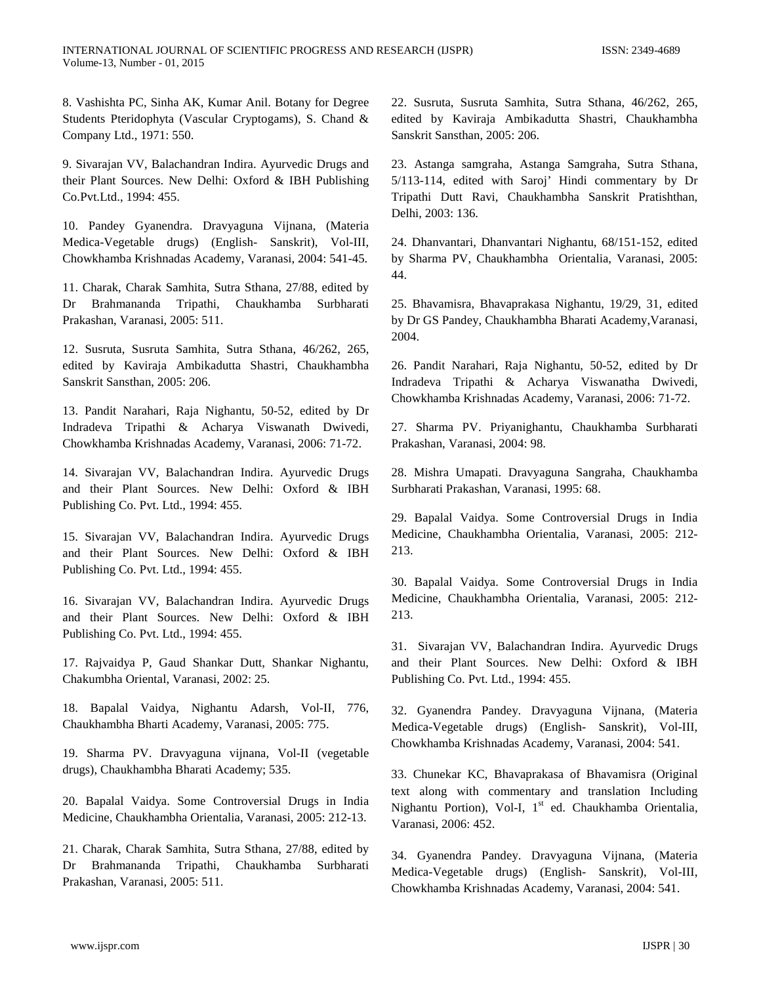8. Vashishta PC, Sinha AK, Kumar Anil. Botany for Degree Students Pteridophyta (Vascular Cryptogams), S. Chand & Company Ltd., 1971: 550.

9. Sivarajan VV, Balachandran Indira. Ayurvedic Drugs and their Plant Sources. New Delhi: Oxford & IBH Publishing Co.Pvt.Ltd., 1994: 455.

10. Pandey Gyanendra. Dravyaguna Vijnana, (Materia Medica-Vegetable drugs) (English- Sanskrit), Vol-III, Chowkhamba Krishnadas Academy, Varanasi, 2004: 541-45.

11. Charak, Charak Samhita, Sutra Sthana, 27/88, edited by Dr Brahmananda Tripathi, Chaukhamba Surbharati Prakashan, Varanasi, 2005: 511.

12. Susruta, Susruta Samhita, Sutra Sthana, 46/262, 265, edited by Kaviraja Ambikadutta Shastri, Chaukhambha Sanskrit Sansthan, 2005: 206.

13. Pandit Narahari, Raja Nighantu, 50-52, edited by Dr Indradeva Tripathi & Acharya Viswanath Dwivedi, Chowkhamba Krishnadas Academy, Varanasi, 2006: 71-72.

14. Sivarajan VV, Balachandran Indira. Ayurvedic Drugs and their Plant Sources. New Delhi: Oxford & IBH Publishing Co. Pvt. Ltd., 1994: 455.

15. Sivarajan VV, Balachandran Indira. Ayurvedic Drugs and their Plant Sources. New Delhi: Oxford & IBH Publishing Co. Pvt. Ltd., 1994: 455.

16. Sivarajan VV, Balachandran Indira. Ayurvedic Drugs and their Plant Sources. New Delhi: Oxford & IBH Publishing Co. Pvt. Ltd., 1994: 455.

17. Rajvaidya P, Gaud Shankar Dutt, Shankar Nighantu, Chakumbha Oriental, Varanasi, 2002: 25.

18. Bapalal Vaidya, Nighantu Adarsh, Vol-II, 776, Chaukhambha Bharti Academy, Varanasi, 2005: 775.

19. Sharma PV. Dravyaguna vijnana, Vol-II (vegetable drugs), Chaukhambha Bharati Academy; 535.

20. Bapalal Vaidya. Some Controversial Drugs in India Medicine, Chaukhambha Orientalia, Varanasi, 2005: 212-13.

21. Charak, Charak Samhita, Sutra Sthana, 27/88, edited by Dr Brahmananda Tripathi, Chaukhamba Surbharati Prakashan, Varanasi, 2005: 511.

22. Susruta, Susruta Samhita, Sutra Sthana, 46/262, 265, edited by Kaviraja Ambikadutta Shastri, Chaukhambha Sanskrit Sansthan, 2005: 206.

23. Astanga samgraha, Astanga Samgraha, Sutra Sthana, 5/113-114, edited with Saroj' Hindi commentary by Dr Tripathi Dutt Ravi, Chaukhambha Sanskrit Pratishthan, Delhi, 2003: 136.

24. Dhanvantari, Dhanvantari Nighantu, 68/151-152, edited by Sharma PV, Chaukhambha Orientalia, Varanasi, 2005: 44.

25. Bhavamisra, Bhavaprakasa Nighantu, 19/29, 31, edited by Dr GS Pandey, Chaukhambha Bharati Academy,Varanasi, 2004.

26. Pandit Narahari, Raja Nighantu, 50-52, edited by Dr Indradeva Tripathi & Acharya Viswanatha Dwivedi, Chowkhamba Krishnadas Academy, Varanasi, 2006: 71-72.

27. Sharma PV. Priyanighantu, Chaukhamba Surbharati Prakashan, Varanasi, 2004: 98.

28. Mishra Umapati. Dravyaguna Sangraha, Chaukhamba Surbharati Prakashan, Varanasi, 1995: 68.

29. Bapalal Vaidya. Some Controversial Drugs in India Medicine, Chaukhambha Orientalia, Varanasi, 2005: 212- 213.

30. Bapalal Vaidya. Some Controversial Drugs in India Medicine, Chaukhambha Orientalia, Varanasi, 2005: 212- 213.

31. Sivarajan VV, Balachandran Indira. Ayurvedic Drugs and their Plant Sources. New Delhi: Oxford & IBH Publishing Co. Pvt. Ltd., 1994: 455.

32. Gyanendra Pandey. Dravyaguna Vijnana, (Materia Medica-Vegetable drugs) (English- Sanskrit), Vol-III, Chowkhamba Krishnadas Academy, Varanasi, 2004: 541.

33. Chunekar KC, Bhavaprakasa of Bhavamisra (Original text along with commentary and translation Including Nighantu Portion), Vol-I, 1<sup>st</sup> ed. Chaukhamba Orientalia, Varanasi, 2006: 452.

34. Gyanendra Pandey. Dravyaguna Vijnana, (Materia Medica-Vegetable drugs) (English- Sanskrit), Vol-III, Chowkhamba Krishnadas Academy, Varanasi, 2004: 541.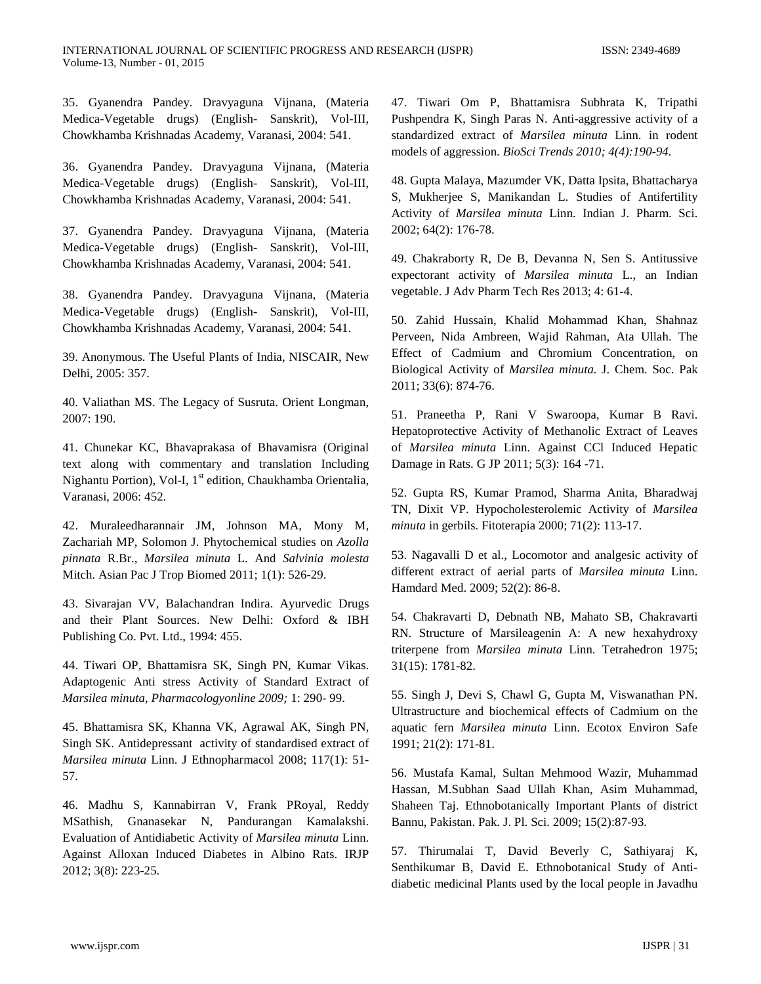INTERNATIONAL JOURNAL OF SCIENTIFIC PROGRESS AND RESEARCH (IJSPR) ISSN: 2349-4689 Volume-13, Number - 01, 2015

35. Gyanendra Pandey. Dravyaguna Vijnana, (Materia Medica-Vegetable drugs) (English- Sanskrit), Vol-III, Chowkhamba Krishnadas Academy, Varanasi, 2004: 541.

36. Gyanendra Pandey. Dravyaguna Vijnana, (Materia Medica-Vegetable drugs) (English- Sanskrit), Vol-III, Chowkhamba Krishnadas Academy, Varanasi, 2004: 541.

37. Gyanendra Pandey. Dravyaguna Vijnana, (Materia Medica-Vegetable drugs) (English- Sanskrit), Vol-III, Chowkhamba Krishnadas Academy, Varanasi, 2004: 541.

38. Gyanendra Pandey. Dravyaguna Vijnana, (Materia Medica-Vegetable drugs) (English- Sanskrit), Vol-III, Chowkhamba Krishnadas Academy, Varanasi, 2004: 541.

39. Anonymous. The Useful Plants of India, NISCAIR, New Delhi, 2005: 357.

40. Valiathan MS. The Legacy of Susruta. Orient Longman, 2007: 190.

41. Chunekar KC, Bhavaprakasa of Bhavamisra (Original text along with commentary and translation Including Nighantu Portion), Vol-I, 1<sup>st</sup> edition, Chaukhamba Orientalia, Varanasi, 2006: 452.

42. Muraleedharannair JM, Johnson MA, Mony M, Zachariah MP, Solomon J. Phytochemical studies on *Azolla pinnata* R.Br., *Marsilea minuta* L. And *Salvinia molesta* Mitch. Asian Pac J Trop Biomed 2011; 1(1): 526-29.

43. Sivarajan VV, Balachandran Indira. Ayurvedic Drugs and their Plant Sources. New Delhi: Oxford & IBH Publishing Co. Pvt. Ltd., 1994: 455.

44. Tiwari OP, Bhattamisra SK, Singh PN, Kumar Vikas. Adaptogenic Anti stress Activity of Standard Extract of *Marsilea minuta*, *Pharmacologyonline 2009;* 1: 290- 99.

45. Bhattamisra SK, Khanna VK, Agrawal AK, Singh PN, Singh SK. Antidepressant activity of standardised extract of *Marsilea minuta* Linn. J Ethnopharmacol 2008; 117(1): 51- 57.

46. Madhu S, Kannabirran V, Frank PRoyal, Reddy MSathish, Gnanasekar N, Pandurangan Kamalakshi. Evaluation of Antidiabetic Activity of *Marsilea minuta* Linn. Against Alloxan Induced Diabetes in Albino Rats. IRJP 2012; 3(8): 223-25.

47. Tiwari Om P, Bhattamisra Subhrata K, Tripathi Pushpendra K, Singh Paras N. Anti-aggressive activity of a standardized extract of *Marsilea minuta* Linn. in rodent models of aggression. *BioSci Trends 2010; 4(4):190-94.*

48. Gupta Malaya, Mazumder VK, Datta Ipsita, Bhattacharya S, Mukherjee S, Manikandan L. Studies of Antifertility Activity of *Marsilea minuta* Linn. Indian J. Pharm. Sci. 2002; 64(2): 176-78.

49. Chakraborty R, De B, Devanna N, Sen S. Antitussive expectorant activity of *Marsilea minuta* L., an Indian vegetable. J Adv Pharm Tech Res 2013; 4: 61-4.

50. Zahid Hussain, Khalid Mohammad Khan, Shahnaz Perveen, Nida Ambreen, Wajid Rahman, Ata Ullah. The Effect of Cadmium and Chromium Concentration, on Biological Activity of *Marsilea minuta.* J. Chem. Soc. Pak 2011; 33(6): 874-76.

51. Praneetha P, Rani V Swaroopa, Kumar B Ravi. Hepatoprotective Activity of Methanolic Extract of Leaves of *Marsilea minuta* Linn. Against CCl Induced Hepatic Damage in Rats. G JP 2011; 5(3): 164 -71.

52. Gupta RS, Kumar Pramod, Sharma Anita, Bharadwaj TN, Dixit VP. Hypocholesterolemic Activity of *Marsilea minuta* in gerbils. Fitoterapia 2000; 71(2): 113-17.

53. Nagavalli D et al., Locomotor and analgesic activity of different extract of aerial parts of *Marsilea minuta* Linn. Hamdard Med. 2009; 52(2): 86-8.

54. Chakravarti D, Debnath NB, Mahato SB, Chakravarti RN. Structure of Marsileagenin A: A new hexahydroxy triterpene from *Marsilea minuta* Linn. Tetrahedron 1975; 31(15): 1781-82.

55. Singh J, Devi S, Chawl G, Gupta M, Viswanathan PN. Ultrastructure and biochemical effects of Cadmium on the aquatic fern *Marsilea minuta* Linn. Ecotox Environ Safe 1991; 21(2): 171-81.

56. Mustafa Kamal, Sultan Mehmood Wazir, Muhammad Hassan, M.Subhan Saad Ullah Khan, Asim Muhammad, Shaheen Taj. Ethnobotanically Important Plants of district Bannu, Pakistan. Pak. J. Pl. Sci. 2009; 15(2):87-93.

57. Thirumalai T, David Beverly C, Sathiyaraj K, Senthikumar B, David E. Ethnobotanical Study of Antidiabetic medicinal Plants used by the local people in Javadhu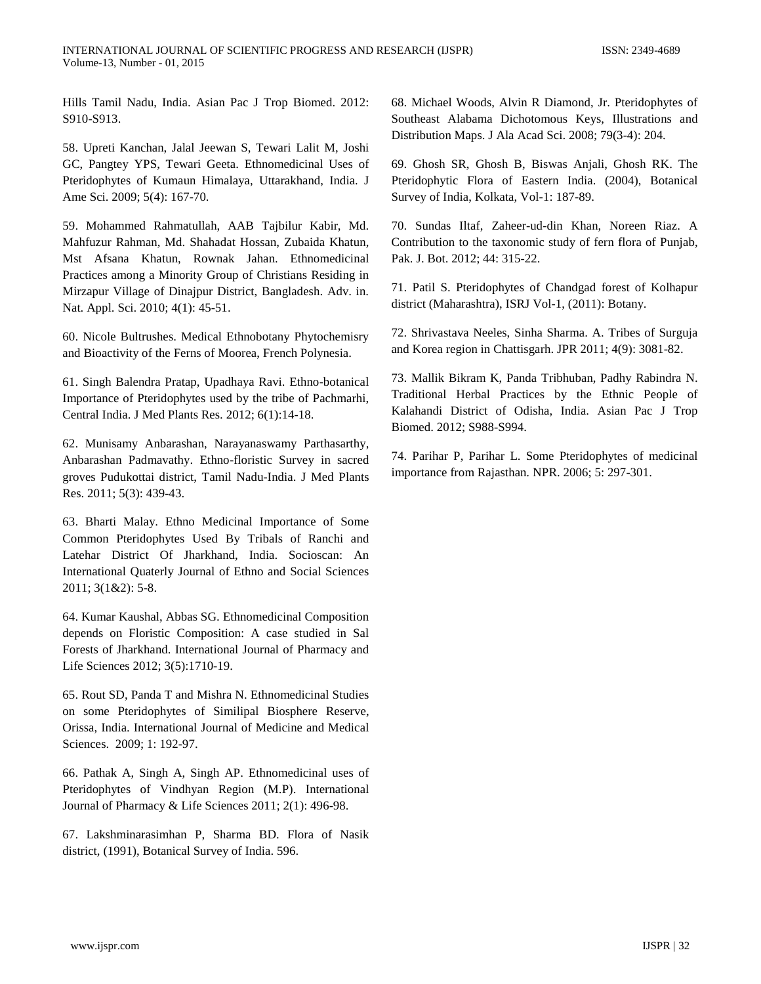Hills Tamil Nadu, India. Asian Pac J Trop Biomed. 2012: S910-S913.

58. Upreti Kanchan, Jalal Jeewan S, Tewari Lalit M, Joshi GC, Pangtey YPS, Tewari Geeta. Ethnomedicinal Uses of Pteridophytes of Kumaun Himalaya, Uttarakhand, India. J Ame Sci. 2009; 5(4): 167-70.

59. Mohammed Rahmatullah, AAB Tajbilur Kabir, Md. Mahfuzur Rahman, Md. Shahadat Hossan, Zubaida Khatun, Mst Afsana Khatun, Rownak Jahan. Ethnomedicinal Practices among a Minority Group of Christians Residing in Mirzapur Village of Dinajpur District, Bangladesh. Adv. in. Nat. Appl. Sci. 2010; 4(1): 45-51.

60. Nicole Bultrushes. Medical Ethnobotany Phytochemisry and Bioactivity of the Ferns of Moorea, French Polynesia.

61. Singh Balendra Pratap, Upadhaya Ravi. Ethno-botanical Importance of Pteridophytes used by the tribe of Pachmarhi, Central India. J Med Plants Res. 2012; 6(1):14-18.

62. Munisamy Anbarashan, Narayanaswamy Parthasarthy, Anbarashan Padmavathy. Ethno-floristic Survey in sacred groves Pudukottai district, Tamil Nadu-India. J Med Plants Res. 2011; 5(3): 439-43.

63. Bharti Malay. Ethno Medicinal Importance of Some Common Pteridophytes Used By Tribals of Ranchi and Latehar District Of Jharkhand, India. Socioscan: An International Quaterly Journal of Ethno and Social Sciences 2011; 3(1&2): 5-8.

64. Kumar Kaushal, Abbas SG. Ethnomedicinal Composition depends on Floristic Composition: A case studied in Sal Forests of Jharkhand. International Journal of Pharmacy and Life Sciences 2012; 3(5):1710-19.

65. Rout SD, Panda T and Mishra N. Ethnomedicinal Studies on some Pteridophytes of Similipal Biosphere Reserve, Orissa, India. International Journal of Medicine and Medical Sciences. 2009; 1: 192-97.

66. Pathak A, Singh A, Singh AP. Ethnomedicinal uses of Pteridophytes of Vindhyan Region (M.P). International Journal of Pharmacy & Life Sciences 2011; 2(1): 496-98.

67. Lakshminarasimhan P, Sharma BD. Flora of Nasik district, (1991), Botanical Survey of India. 596.

68. Michael Woods, Alvin R Diamond, Jr. Pteridophytes of Southeast Alabama Dichotomous Keys, Illustrations and Distribution Maps. J Ala Acad Sci. 2008; 79(3-4): 204.

69. Ghosh SR, Ghosh B, Biswas Anjali, Ghosh RK. The Pteridophytic Flora of Eastern India. (2004), Botanical Survey of India, Kolkata, Vol-1: 187-89.

70. Sundas Iltaf, Zaheer-ud-din Khan, Noreen Riaz. A Contribution to the taxonomic study of fern flora of Punjab, Pak. J. Bot. 2012; 44: 315-22.

71. Patil S. Pteridophytes of Chandgad forest of Kolhapur district (Maharashtra), ISRJ Vol-1, (2011): Botany.

72. Shrivastava Neeles, Sinha Sharma. A. Tribes of Surguja and Korea region in Chattisgarh. JPR 2011; 4(9): 3081-82.

73. Mallik Bikram K, Panda Tribhuban, Padhy Rabindra N. Traditional Herbal Practices by the Ethnic People of Kalahandi District of Odisha, India. Asian Pac J Trop Biomed. 2012; S988-S994.

74. Parihar P, Parihar L. Some Pteridophytes of medicinal importance from Rajasthan. NPR. 2006; 5: 297-301.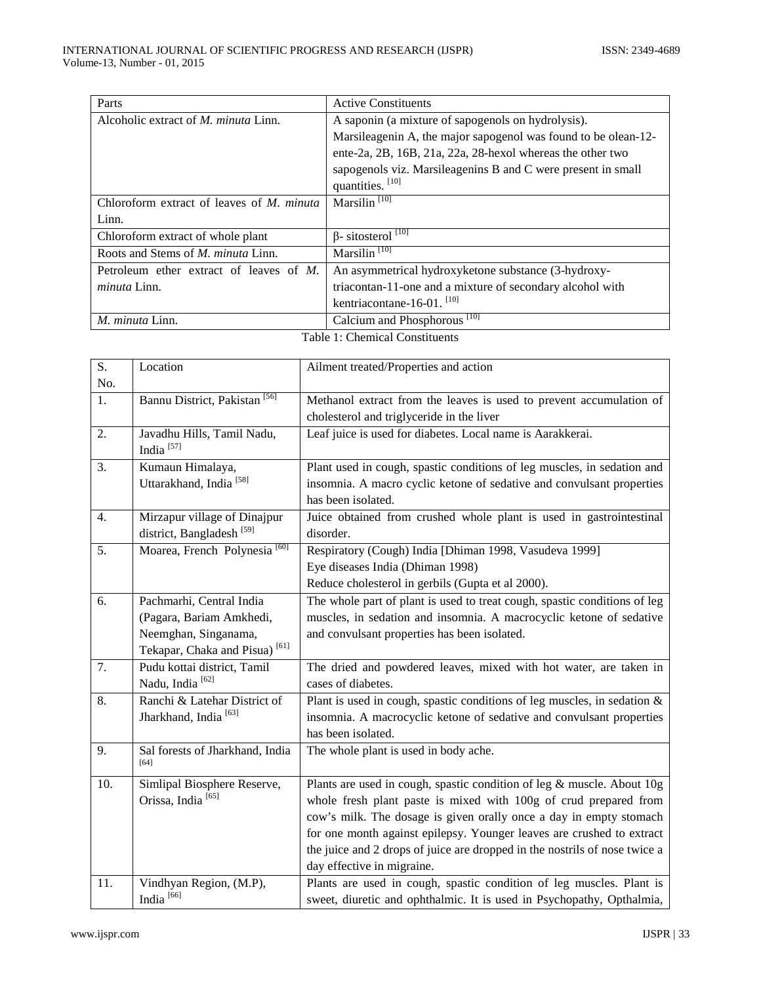| Parts                                            | <b>Active Constituents</b>                                     |  |
|--------------------------------------------------|----------------------------------------------------------------|--|
| Alcoholic extract of <i>M. minuta</i> Linn.      | A saponin (a mixture of sapogenols on hydrolysis).             |  |
|                                                  | Marsileagenin A, the major sapogenol was found to be olean-12- |  |
|                                                  | ente-2a, 2B, 16B, 21a, 22a, 28-hexol whereas the other two     |  |
|                                                  | sapogenols viz. Marsileagenins B and C were present in small   |  |
|                                                  | quantities. [10]                                               |  |
| Chloroform extract of leaves of <i>M. minuta</i> | Marsilin <sup>[10]</sup>                                       |  |
| Linn.                                            |                                                                |  |
| Chloroform extract of whole plant                | $\beta$ - sitosterol <sup>[10]</sup>                           |  |
| Roots and Stems of <i>M. minuta</i> Linn.        | Marsilin <sup>[10]</sup>                                       |  |
| Petroleum ether extract of leaves of $M$ .       | An asymmetrical hydroxyketone substance (3-hydroxy-            |  |
| <i>minuta</i> Linn.                              | triacontan-11-one and a mixture of secondary alcohol with      |  |
|                                                  | kentriacontane-16-01. $^{[10]}$                                |  |
| M. minuta Linn.                                  | Calcium and Phosphorous <sup>[10]</sup>                        |  |
| $T = 1.1$ $T = 1.01$ $T = 1.01$ $T = 1.01$       |                                                                |  |

| $\overline{S}$ . | Location                                  | Ailment treated/Properties and action                                       |
|------------------|-------------------------------------------|-----------------------------------------------------------------------------|
| No.              |                                           |                                                                             |
| 1.               | Bannu District, Pakistan <sup>[56]</sup>  | Methanol extract from the leaves is used to prevent accumulation of         |
|                  |                                           | cholesterol and triglyceride in the liver                                   |
| 2.               | Javadhu Hills, Tamil Nadu,                | Leaf juice is used for diabetes. Local name is Aarakkerai.                  |
|                  | India <sup>[57]</sup>                     |                                                                             |
| 3.               | Kumaun Himalaya,                          | Plant used in cough, spastic conditions of leg muscles, in sedation and     |
|                  | Uttarakhand, India <sup>[58]</sup>        | insomnia. A macro cyclic ketone of sedative and convulsant properties       |
|                  |                                           | has been isolated.                                                          |
| 4.               | Mirzapur village of Dinajpur              | Juice obtained from crushed whole plant is used in gastrointestinal         |
|                  | district, Bangladesh <sup>[59]</sup>      | disorder.                                                                   |
| 5.               | Moarea, French Polynesia <sup>[60]</sup>  | Respiratory (Cough) India [Dhiman 1998, Vasudeva 1999]                      |
|                  |                                           | Eye diseases India (Dhiman 1998)                                            |
|                  |                                           | Reduce cholesterol in gerbils (Gupta et al 2000).                           |
| 6.               | Pachmarhi, Central India                  | The whole part of plant is used to treat cough, spastic conditions of leg   |
|                  | (Pagara, Bariam Amkhedi,                  | muscles, in sedation and insomnia. A macrocyclic ketone of sedative         |
|                  | Neemghan, Singanama,                      | and convulsant properties has been isolated.                                |
|                  | Tekapar, Chaka and Pisua) <sup>[61]</sup> |                                                                             |
| 7.               | Pudu kottai district, Tamil               | The dried and powdered leaves, mixed with hot water, are taken in           |
|                  | Nadu, India <sup>[62]</sup>               | cases of diabetes.                                                          |
| 8.               | Ranchi & Latehar District of              | Plant is used in cough, spastic conditions of leg muscles, in sedation $\&$ |
|                  | Jharkhand, India <sup>[63]</sup>          | insomnia. A macrocyclic ketone of sedative and convulsant properties        |
|                  |                                           | has been isolated.                                                          |
| 9.               | Sal forests of Jharkhand, India<br>[64]   | The whole plant is used in body ache.                                       |
|                  |                                           |                                                                             |
| 10.              | Simlipal Biosphere Reserve,               | Plants are used in cough, spastic condition of leg & muscle. About 10g      |
|                  | Orissa, India <sup>[65]</sup>             | whole fresh plant paste is mixed with 100g of crud prepared from            |
|                  |                                           | cow's milk. The dosage is given orally once a day in empty stomach          |
|                  |                                           | for one month against epilepsy. Younger leaves are crushed to extract       |
|                  |                                           | the juice and 2 drops of juice are dropped in the nostrils of nose twice a  |
|                  |                                           | day effective in migraine.                                                  |
| 11.              | Vindhyan Region, (M.P),                   | Plants are used in cough, spastic condition of leg muscles. Plant is        |
|                  | India <sup>[66]</sup>                     | sweet, diuretic and ophthalmic. It is used in Psychopathy, Opthalmia,       |